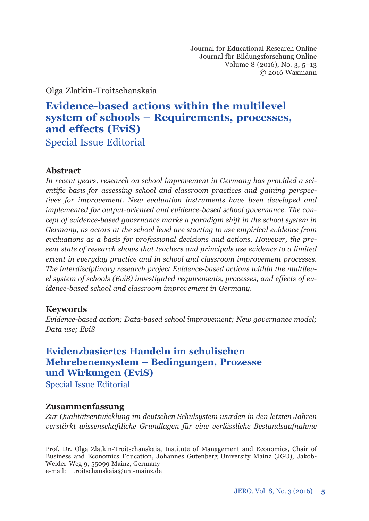Journal for Educational Research Online Journal für Bildungsforschung Online Volume 8 (2016), No. 3, 5–13 © 2016 Waxmann

Olga Zlatkin-Troitschanskaia

# **Evidence-based actions within the multilevel system of schools – Requirements, processes, and eff ects (EviS)** Special Issue Editorial

### **Abstract**

*In recent years, research on school improvement in Germany has provided a sci*entific basis for assessing school and classroom practices and gaining perspec*tives for improvement. New evaluation instruments have been developed and implemented for output-oriented and evidence-based school governance. The concept of evidence-based governance marks a paradigm shift in the school system in Germany, as actors at the school level are starting to use empirical evidence from evaluations as a basis for professional decisions and actions. However, the present state of research shows that teachers and principals use evidence to a limited extent in everyday practice and in school and classroom improvement processes. The interdisciplinary research project Evidence-based actions within the multilev*el system of schools (EviS) investigated requirements, processes, and effects of ev*idence-based school and classroom improvement in Germany.* 

### **Keywords**

*Evidence-based action; Data-based school improvement; New governance model; Data use; EviS*

# **Evidenzbasiertes Handeln im schulischen Mehrebenensystem – Bedingungen, Prozesse und Wirkungen (EviS)**

Special Issue Editorial

### **Zusammenfassung**

*Zur Qualitätsentwicklung im deutschen Schulsystem wurden in den letzten Jahren verstärkt wissenschaftliche Grundlagen für eine verlässliche Bestandsaufnahme* 

e-mail: troitschanskaia@uni-mainz.de

Prof. Dr. Olga Zlatkin-Troitschanskaia, Institute of Management and Economics, Chair of Business and Economics Education, Johannes Gutenberg University Mainz (JGU), Jakob-Welder-Weg 9, 55099 Mainz, Germany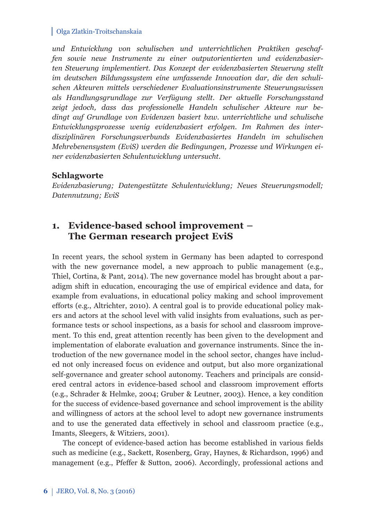*und Entwicklung von schulischen und unterrichtlichen Praktiken geschaffen sowie neue Instrumente zu einer outputorientierten und evidenzbasierten Steuerung implementiert. Das Konzept der evidenzbasierten Steuerung stellt im deutschen Bildungssystem eine umfassende Innovation dar, die den schulischen Akteuren mittels verschiedener Evaluationsinstrumente Steuerungswissen als Handlungsgrundlage zur Verfügung stellt. Der aktuelle Forschungsstand zeigt jedoch, dass das professionelle Handeln schulischer Akteure nur bedingt auf Grundlage von Evidenzen basiert bzw. unterrichtliche und schulische Ent wicklungsprozesse wenig evidenzbasiert erfolgen. Im Rahmen des interdisziplinären Forschungsverbunds Evidenzbasiertes Handeln im schulischen Mehr ebenensystem (EviS) werden die Bedingungen, Prozesse und Wirkungen einer evidenzbasierten Schulentwicklung untersucht.* 

### **Schlagworte**

*Evidenzbasierung; Datengestützte Schulentwicklung; Neues Steuerungsmodell; Datennutzung; EviS*

# **1. Evidence-based school improvement – The German research project EviS**

In recent years, the school system in Germany has been adapted to correspond with the new governance model, a new approach to public management (e.g., Thiel, Cortina, & Pant, 2014). The new governance model has brought about a paradigm shift in education, encouraging the use of empirical evidence and data, for example from evaluations, in educational policy making and school improvement efforts (e.g., Altrichter, 2010). A central goal is to provide educational policy makers and actors at the school level with valid insights from evaluations, such as performance tests or school inspections, as a basis for school and classroom improvement. To this end, great attention recently has been given to the development and implementation of elaborate evaluation and governance instruments. Since the introduction of the new governance model in the school sector, changes have included not only increased focus on evidence and output, but also more organizational self-governance and greater school autonomy. Teachers and principals are considered central actors in evidence-based school and classroom improvement efforts (e.g., Schrader & Helmke, 2004; Gruber & Leutner, 2003). Hence, a key condition for the success of evidence-based governance and school improvement is the ability and willingness of actors at the school level to adopt new governance instruments and to use the generated data effectively in school and classroom practice (e.g., Imants, Sleegers, & Witziers, 2001).

The concept of evidence-based action has become established in various fields such as medicine (e.g., Sackett, Rosenberg, Gray, Haynes, & Richardson, 1996) and management (e.g., Pfeffer & Sutton, 2006). Accordingly, professional actions and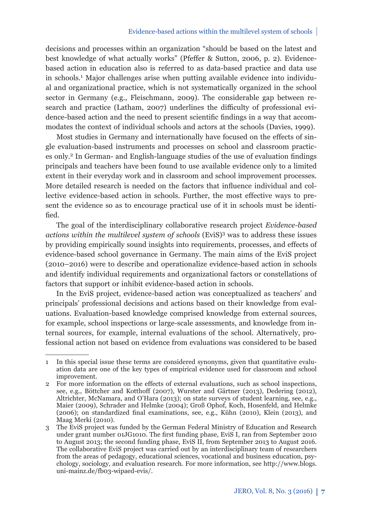decisions and processes within an organization "should be based on the latest and best knowledge of what actually works" (Pfeffer & Sutton, 2006, p. 2). Evidencebased action in education also is referred to as data-based practice and data use in schools.1 Major challenges arise when putting available evidence into individual and organizational practice, which is not systematically organized in the school sector in Germany (e.g., Fleischmann, 2009). The considerable gap between research and practice (Latham, 2007) underlines the difficulty of professional evidence-based action and the need to present scientific findings in a way that accommodates the context of individual schools and actors at the schools (Davies, 1999).

Most studies in Germany and internationally have focused on the effects of single evaluation-based instruments and processes on school and classroom practices only.<sup>2</sup> In German- and English-language studies of the use of evaluation findings principals and teachers have been found to use available evidence only to a limited extent in their everyday work and in classroom and school improvement processes. More detailed research is needed on the factors that influence individual and collective evidence-based action in schools. Further, the most effective ways to present the evidence so as to encourage practical use of it in schools must be identified.

The goal of the interdisciplinary collaborative research project *Evidence-based actions within the multilevel system of schools* (EviS)3 was to address these issues by providing empirically sound insights into requirements, processes, and effects of evidence-based school governance in Germany. The main aims of the EviS project (2010–2016) were to describe and operationalize evidence-based action in schools and identify individual requirements and organizational factors or constellations of factors that support or inhibit evidence-based action in schools.

In the EviS project, evidence-based action was conceptualized as teachers' and principals' professional decisions and actions based on their knowledge from evaluations. Evaluation-based knowledge comprised knowledge from external sources, for example, school inspections or large-scale assessments, and knowledge from internal sources, for example, internal evaluations of the school. Alternatively, professional action not based on evidence from evaluations was considered to be based

<sup>1</sup> In this special issue these terms are considered synonyms, given that quantitative evaluation data are one of the key types of empirical evidence used for classroom and school improvement.

<sup>2</sup> For more information on the effects of external evaluations, such as school inspections, see, e.g., Böttcher and Kotthoff (2007), Wurster and Gärtner (2013), Dedering (2012), Altrichter, McNamara, and O'Hara (2013); on state surveys of student learning, see, e.g., Maier (2009), Schrader and Helmke (2004); Groß Ophof, Koch, Hosenfeld, and Helmke  $(2006)$ ; on standardized final examinations, see, e.g., Kühn  $(2010)$ , Klein  $(2013)$ , and Maag Merki (2010).

<sup>3</sup> The EviS project was funded by the German Federal Ministry of Education and Research under grant number 01JG1010. The first funding phase, EviS I, ran from September 2010 to August 2013; the second funding phase, EviS II, from September 2013 to August 2016. The collaborative EviS project was carried out by an interdisciplinary team of researchers from the areas of pedagogy, educational sciences, vocational and business education, psychology, sociology, and evaluation research. For more information, see http://www.blogs. uni-mainz.de/fb03-wipaed-evis/.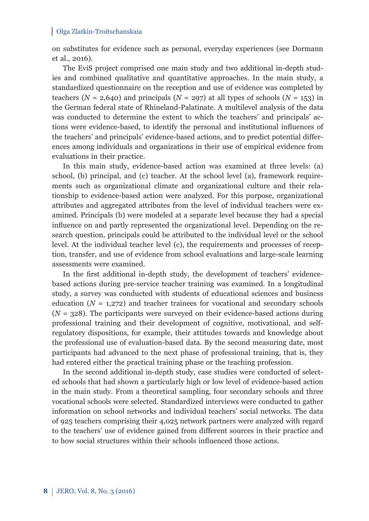on substitutes for evidence such as personal, everyday experiences (see Dormann et al., 2016).

The EviS project comprised one main study and two additional in-depth studies and combined qualitative and quantitative approaches. In the main study, a standardized questionnaire on the reception and use of evidence was completed by teachers ( $N = 2,640$ ) and principals ( $N = 297$ ) at all types of schools ( $N = 153$ ) in the German federal state of Rhineland-Palatinate. A multilevel analysis of the data was conducted to determine the extent to which the teachers' and principals' actions were evidence-based, to identify the personal and institutional influences of the teachers' and principals' evidence-based actions, and to predict potential differences among individuals and organizations in their use of empirical evidence from evaluations in their practice.

In this main study, evidence-based action was examined at three levels: (a) school, (b) principal, and (c) teacher. At the school level (a), framework requirements such as organizational climate and organizational culture and their relationship to evidence-based action were analyzed. For this purpose, organizational attributes and aggregated attributes from the level of individual teachers were examined. Principals (b) were modeled at a separate level because they had a special influence on and partly represented the organizational level. Depending on the research question, principals could be attributed to the individual level or the school level. At the individual teacher level (c), the requirements and processes of reception, transfer, and use of evidence from school evaluations and large-scale learning assessments were examined.

In the first additional in-depth study, the development of teachers' evidencebased actions during pre-service teacher training was examined. In a longitudinal study, a survey was conducted with students of educational sciences and business education  $(N = 1,272)$  and teacher trainees for vocational and secondary schools (*N* = 328). The participants were surveyed on their evidence-based actions during professional training and their development of cognitive, motivational, and selfregulatory dispositions, for example, their attitudes towards and knowledge about the professional use of evaluation-based data. By the second measuring date, most participants had advanced to the next phase of professional training, that is, they had entered either the practical training phase or the teaching profession.

In the second additional in-depth study, case studies were conducted of selected schools that had shown a particularly high or low level of evidence-based action in the main study. From a theoretical sampling, four secondary schools and three vocational schools were selected. Standardized interviews were conducted to gather information on school networks and individual teachers' social networks. The data of 925 teachers comprising their 4,025 network partners were analyzed with regard to the teachers' use of evidence gained from different sources in their practice and to how social structures within their schools influenced those actions.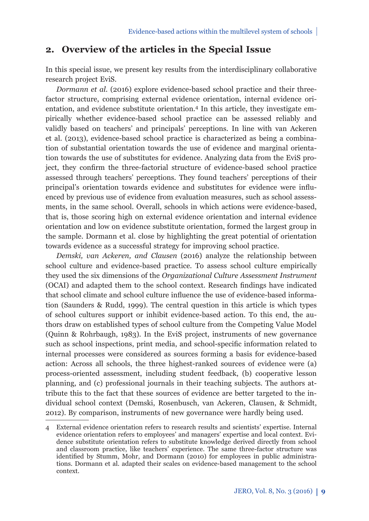## **2. Overview of the articles in the Special Issue**

In this special issue, we present key results from the interdisciplinary collaborative research project EviS.

*Dormann et al.* (2016) explore evidence-based school practice and their threefactor structure, comprising external evidence orientation, internal evidence orientation, and evidence substitute orientation.4 In this article, they investigate empirically whether evidence-based school practice can be assessed reliably and validly based on teachers' and principals' perceptions. In line with van Ackeren et al. (2013), evidence-based school practice is characterized as being a combination of substantial orientation towards the use of evidence and marginal orientation towards the use of substitutes for evidence. Analyzing data from the EviS project, they confirm the three-factorial structure of evidence-based school practice assessed through teachers' perceptions. They found teachers' perceptions of their principal's orientation towards evidence and substitutes for evidence were influenced by previous use of evidence from evaluation measures, such as school assessments, in the same school. Overall, schools in which actions were evidence-based, that is, those scoring high on external evidence orientation and internal evidence orientation and low on evidence substitute orientation, formed the largest group in the sample. Dormann et al. close by highlighting the great potential of orientation towards evidence as a successful strategy for improving school practice.

*Demski, van Ackeren, and Clausen* (2016) analyze the relationship between school culture and evidence-based practice. To assess school culture empirically they used the six dimensions of the *Organizational Culture Assessment Instrument* (OCAI) and adapted them to the school context. Research findings have indicated that school climate and school culture influence the use of evidence-based information (Saunders & Rudd, 1999). The central question in this article is which types of school cultures support or inhibit evidence-based action. To this end, the authors draw on established types of school culture from the Competing Value Model (Quinn & Rohrbaugh, 1983). In the EviS project, instruments of new governance such as school inspections, print media, and school-specific information related to internal processes were considered as sources forming a basis for evidence-based action: Across all schools, the three highest-ranked sources of evidence were (a) process-oriented assessment, including student feedback, (b) cooperative lesson planning, and (c) professional journals in their teaching subjects. The authors attribute this to the fact that these sources of evidence are better targeted to the individual school context (Demski, Rosenbusch, van Ackeren, Clausen, & Schmidt, 2012). By comparison, instruments of new governance were hardly being used.

<sup>4</sup> External evidence orientation refers to research results and scientists' expertise. Internal evidence orientation refers to employees' and managers' expertise and local context. Evidence substitute orientation refers to substitute knowledge derived directly from school and classroom practice, like teachers' experience. The same three-factor structure was identified by Stumm, Mohr, and Dormann (2010) for employees in public administrations. Dormann et al. adapted their scales on evidence-based management to the school context.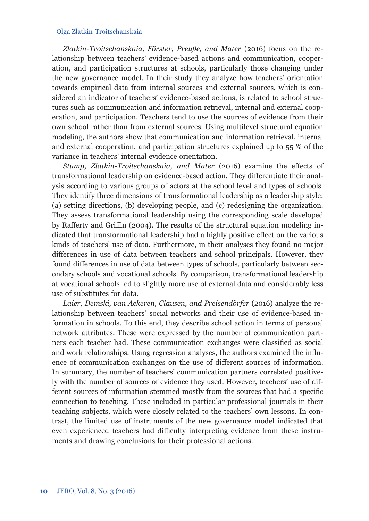*Zlatkin-Troitschanskaia, Förster, Preuße, and Mater* (2016) focus on the relationship between teachers' evidence-based actions and communication, cooperation, and participation structures at schools, particularly those changing under the new governance model. In their study they analyze how teachers' orientation towards empirical data from internal sources and external sources, which is considered an indicator of teachers' evidence-based actions, is related to school structures such as communication and information retrieval, internal and external cooperation, and participation. Teachers tend to use the sources of evidence from their own school rather than from external sources. Using multilevel structural equation modeling, the authors show that communication and information retrieval, internal and external cooperation, and participation structures explained up to 55 % of the variance in teachers' internal evidence orientation.

*Stump, Zlatkin-Troitschanskaia, and Mater* (2016) examine the effects of transformational leadership on evidence-based action. They differentiate their analysis according to various groups of actors at the school level and types of schools. They identify three dimensions of transformational leadership as a leadership style: (a) setting directions, (b) developing people, and (c) redesigning the organization. They assess transformational leadership using the corresponding scale developed by Rafferty and Griffin (2004). The results of the structural equation modeling indicated that transformational leadership had a highly positive effect on the various kinds of teachers' use of data. Furthermore, in their analyses they found no major differences in use of data between teachers and school principals. However, they found differences in use of data between types of schools, particularly between secondary schools and vocational schools. By comparison, transformational leadership at vocational schools led to slightly more use of external data and considerably less use of substitutes for data.

*Laier, Demski, van Ackeren, Clausen, and Preisendörfer* (2016) analyze the relationship between teachers' social networks and their use of evidence-based information in schools. To this end, they describe school action in terms of personal network attributes. These were expressed by the number of communication partners each teacher had. These communication exchanges were classified as social and work relationships. Using regression analyses, the authors examined the influence of communication exchanges on the use of different sources of information. In summary, the number of teachers' communication partners correlated positively with the number of sources of evidence they used. However, teachers' use of different sources of information stemmed mostly from the sources that had a specific connection to teaching. These included in particular professional journals in their teaching subjects, which were closely related to the teachers' own lessons. In contrast, the limited use of instruments of the new governance model indicated that even experienced teachers had difficulty interpreting evidence from these instruments and drawing conclusions for their professional actions.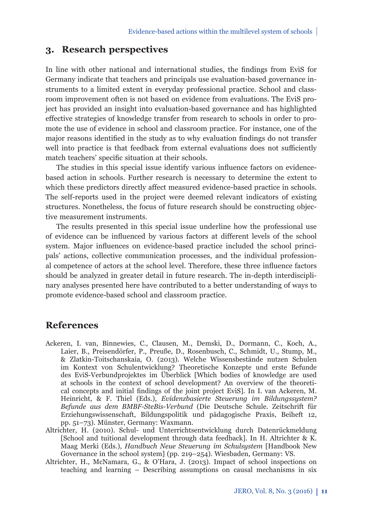## **3.** Research perspectives

In line with other national and international studies, the findings from EviS for Germany indicate that teachers and principals use evaluation-based governance instruments to a limited extent in everyday professional practice. School and classroom improvement often is not based on evidence from evaluations. The EviS project has provided an insight into evaluation-based governance and has highlighted effective strategies of knowledge transfer from research to schools in order to promote the use of evidence in school and classroom practice. For instance, one of the major reasons identified in the study as to why evaluation findings do not transfer well into practice is that feedback from external evaluations does not sufficiently match teachers' specific situation at their schools.

The studies in this special issue identify various influence factors on evidencebased action in schools. Further research is necessary to determine the extent to which these predictors directly affect measured evidence-based practice in schools. The self-reports used in the project were deemed relevant indicators of existing structures. Nonetheless, the focus of future research should be constructing objective measurement instruments.

The results presented in this special issue underline how the professional use of evidence can be influenced by various factors at different levels of the school system. Major influences on evidence-based practice included the school principals' actions, collective communication processes, and the individual professional competence of actors at the school level. Therefore, these three influence factors should be analyzed in greater detail in future research. The in-depth interdisciplinary analyses presented here have contributed to a better understanding of ways to promote evidence-based school and classroom practice.

## **References**

- Ackeren, I. van, Binnewies, C., Clausen, M., Demski, D., Dormann, C., Koch, A., Laier, B., Preisendörfer, P., Preuße, D., Rosenbusch, C., Schmidt, U., Stump, M., & Zlatkin-Toitschanskaia, O. (2013). Welche Wissensbestände nutzen Schulen im Kontext von Schulentwicklung? Theoretische Konzepte und erste Befunde des EviS-Verbundprojektes im Überblick [Which bodies of knowledge are used at schools in the context of school development? An overview of the theoretical concepts and initial findings of the joint project EviS]. In I. van Ackeren, M. Heinricht, & F. Thiel (Eds.), *Evidenzbasierte Steuerung im Bildungssystem? Befunde aus dem BMBF-SteBis-Verbund* (Die Deutsche Schule. Zeitschrift für Erziehungswissenschaft, Bildungspolitik und pädagogische Praxis, Beiheft 12, pp. 51–73). Münster, Germany: Waxmann.
- Altrichter, H. (2010). Schul- und Unterrichtsentwicklung durch Datenrückmeldung [School and tuitional development through data feedback]. In H. Altrichter & K. Maag Merki (Eds.), *Handbuch Neue Steuerung im Schulsystem* [Handbook New Governance in the school system] (pp. 219–254). Wiesbaden, Germany: VS.
- Altrichter, H., McNamara, G., & O'Hara, J. (2013). Impact of school inspections on teaching and learning – Describing assumptions on causal mechanisms in six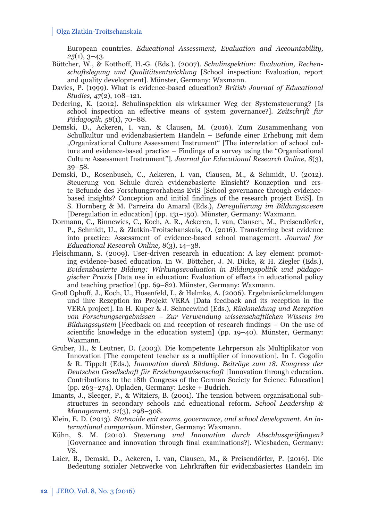European countries. *Educational Assessment, Evaluation and Accountability, 25*(1), 3–43.

- Böttcher, W., & Kotthoff , H.-G. (Eds.). (2007). *Schulinspektion: Evaluation, Rechenschafts legung und Qualitätsentwicklung* [School inspection: Evaluation, report and quality development]*.* Münster, Germany: Waxmann.
- Davies, P. (1999). What is evidence-based education? *British Journal of Educational Studies, 47*(2), 108–121.
- Dedering, K. (2012). Schulinspektion als wirksamer Weg der Systemsteuerung? [Is school inspection an effective means of system governance?]. Zeitschrift für *Pädagogik, 58*(1), 70–88.
- Demski, D., Ackeren, I. van, & Clausen, M. (2016). Zum Zusammenhang von Schulkultur und evidenzbasiertem Handeln – Befunde einer Erhebung mit dem "Organizational Culture Assessment Instrument" [The interrelation of school culture and evidence-based practice – Findings of a survey using the "Organizational Culture Assessment Instrument"]. *Journal for Educational Research Online, 8*(3), 39–58.
- Demski, D., Rosenbusch, C., Ackeren, I. van, Clausen, M., & Schmidt, U. (2012). Steuerung von Schule durch evidenzbasierte Einsicht? Konzeption und erste Befunde des Forschungsvorhabens EviS [School governance through evidencebased insights? Conception and initial findings of the research project EviS. In S. Hornberg & M. Parreira do Amaral (Eds.), *Deregulierung im Bildungswesen* [Deregulation in education] (pp. 131–150). Münster, Germany: Waxmann.
- Dormann, C., Binnewies, C., Koch, A. R., Ackeren, I. van, Clausen, M., Preisendörfer, P., Schmidt, U., & Zlatkin-Troitschanskaia, O. (2016). Transferring best evidence into practice: Assessment of evidence-based school management. *Journal for Educational Research Online, 8*(3), 14–38.
- Fleischmann, S. (2009). User-driven research in education: A key element promoting evidence-based education. In W. Böttcher, J. N. Dicke, & H. Ziegler (Eds.), *Evidenzbasierte Bildung: Wirkungsevaluation in Bildungspolitik und pädagogischer Praxis* [Data use in education: Evaluation of effects in educational policy and teaching practice] (pp. 69–82). Münster, Germany: Waxmann.
- Groß Ophoff , J., Koch, U., Hosenfeld, I., & Helmke, A. (2006). Ergebnisrückmeldungen und ihre Rezeption im Projekt VERA [Data feedback and its reception in the VERA project]. In H. Kuper & J. Schneewind (Eds.), *Rückmeldung und Rezeption von Forschungsergebnissen – Zur Verwendung wissenschaftlichen Wissens im Bildungssystem* [Feedback on and reception of research findings – On the use of scientific knowledge in the education system] (pp.  $19-40$ ). Münster, Germany: Waxmann.
- Gruber, H., & Leutner, D. (2003). Die kompetente Lehrperson als Multiplikator von Innovation [The competent teacher as a multiplier of innovation]. In I. Gogolin & R. Tippelt (Eds.), *Innovation durch Bildung. Beiträge zum 18. Kongress der Deutschen Gesellschaft für Erziehungswisenschaft* [Innovation through education. Contributions to the 18th Congress of the German Society for Science Education] (pp. 263–274). Opladen, Germany: Leske + Budrich.
- Imants, J., Sleeger, P., & Witziers, B. (2001). The tension between organisational substructures in secondary schools and educational reform. *School Leadership & Management, 21*(3), 298–308.
- Klein, E. D. (2013). *Statewide exit exams, governance, and school development. An international comparison.* Münster, Germany: Waxmann.
- Kühn, S. M. (2010). *Steuerung und Innovation durch Abschlussprüfungen?* [Governance and innovation through final examinations?]. Wiesbaden, Germany: VS.
- Laier, B., Demski, D., Ackeren, I. van, Clausen, M., & Preisendörfer, P. (2016). Die Bedeutung sozialer Netzwerke von Lehrkräften für evidenzbasiertes Handeln im